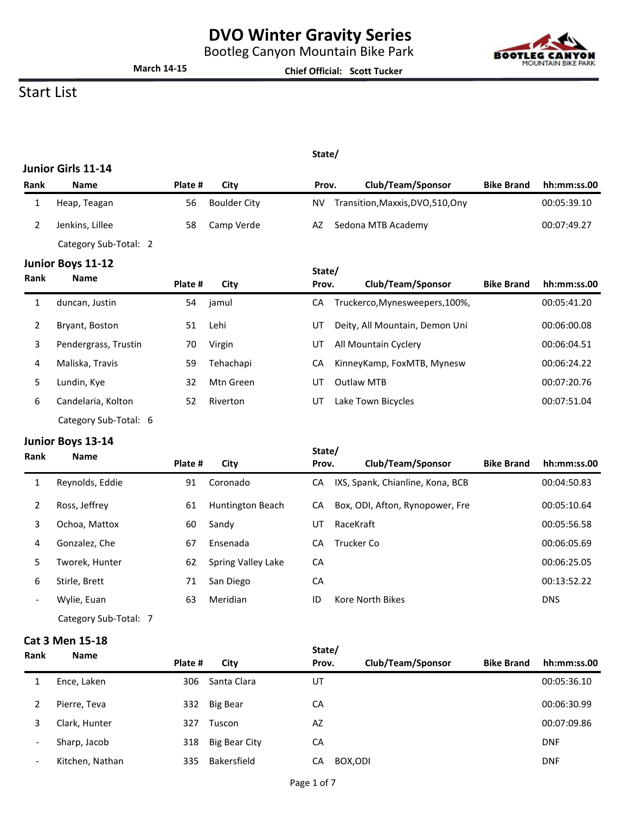Bootleg Canyon Mountain Bike Park



# **March 14-15**

**Chief Official: Scott Tucker**

### Start List

#### **State/**

|                | Junior Girls 11-14    |         |                     |        |                                   |                   |             |
|----------------|-----------------------|---------|---------------------|--------|-----------------------------------|-------------------|-------------|
| Rank           | <b>Name</b>           | Plate # | City                | Prov.  | Club/Team/Sponsor                 | <b>Bike Brand</b> | hh:mm:ss.00 |
| 1              | Heap, Teagan          | 56      | <b>Boulder City</b> | ΝV     | Transition, Maxxis, DVO, 510, Ony |                   | 00:05:39.10 |
| $\overline{2}$ | Jenkins, Lillee       | 58      | Camp Verde          | AZ     | Sedona MTB Academy                |                   | 00:07:49.27 |
|                | Category Sub-Total: 2 |         |                     |        |                                   |                   |             |
|                | Junior Boys 11-12     |         |                     | State/ |                                   |                   |             |
| Rank           | <b>Name</b>           | Plate # | City                | Prov.  | Club/Team/Sponsor                 | <b>Bike Brand</b> | hh:mm:ss.00 |
| 1              | duncan, Justin        | 54      | jamul               | СA     | Truckerco, Mynesweepers, 100%,    |                   | 00:05:41.20 |
| 2              | Bryant, Boston        | 51      | Lehi                | UT     | Deity, All Mountain, Demon Uni    |                   | 00:06:00.08 |
| 3              | Pendergrass, Trustin  | 70      | Virgin              | UT     | All Mountain Cyclery              |                   | 00:06:04.51 |
| 4              | Maliska, Travis       | 59      | Tehachapi           | CA     | KinneyKamp, FoxMTB, Mynesw        |                   | 00:06:24.22 |
| 5              | Lundin, Kye           | 32      | Mtn Green           | UT     | <b>Outlaw MTB</b>                 |                   | 00:07:20.76 |
| 6              | Candelaria, Kolton    | 52      | Riverton            | UT     | Lake Town Bicycles                |                   | 00:07:51.04 |
|                | Category Sub-Total: 6 |         |                     |        |                                   |                   |             |

### **Junior Boys 13-14**

| Rank                     | <u>   .</u><br><b>Name</b> |         |                    | State/ |                                  |                   |             |
|--------------------------|----------------------------|---------|--------------------|--------|----------------------------------|-------------------|-------------|
|                          |                            | Plate # | City               | Prov.  | Club/Team/Sponsor                | <b>Bike Brand</b> | hh:mm:ss.00 |
| 1                        | Reynolds, Eddie            | 91      | Coronado           | СA     | IXS, Spank, Chianline, Kona, BCB |                   | 00:04:50.83 |
| 2                        | Ross, Jeffrey              | 61      | Huntington Beach   | CA     | Box, ODI, Afton, Rynopower, Fre  |                   | 00:05:10.64 |
| 3                        | Ochoa, Mattox              | 60      | Sandy              | UT     | RaceKraft                        |                   | 00:05:56.58 |
| 4                        | Gonzalez, Che              | 67      | Ensenada           | CA     | Trucker Co                       |                   | 00:06:05.69 |
| 5                        | Tworek, Hunter             | 62      | Spring Valley Lake | CA     |                                  |                   | 00:06:25.05 |
| 6                        | Stirle, Brett              | 71      | San Diego          | CA     |                                  |                   | 00:13:52.22 |
| $\overline{\phantom{a}}$ | Wylie, Euan                | 63      | Meridian           | ID     | Kore North Bikes                 |                   | <b>DNS</b>  |
|                          |                            |         |                    |        |                                  |                   |             |

Category Sub-Total: 7

### **Cat 3 Men 15-18**

|                          | CUL J IVICII 1J 1U |         |               | State/ |                   |                   |             |
|--------------------------|--------------------|---------|---------------|--------|-------------------|-------------------|-------------|
| Rank                     | <b>Name</b>        | Plate # | City          | Prov.  | Club/Team/Sponsor | <b>Bike Brand</b> | hh:mm:ss.00 |
|                          | Ence, Laken        | 306     | Santa Clara   | UT     |                   |                   | 00:05:36.10 |
| 2                        | Pierre, Teva       | 332     | Big Bear      | СA     |                   |                   | 00:06:30.99 |
| 3                        | Clark, Hunter      | 327     | Tuscon        | AZ     |                   |                   | 00:07:09.86 |
| $\overline{\phantom{a}}$ | Sharp, Jacob       | 318     | Big Bear City | CA     |                   |                   | <b>DNF</b>  |
| $\overline{\phantom{a}}$ | Kitchen, Nathan    | 335     | Bakersfield   | СA     | BOX, ODI          |                   | <b>DNF</b>  |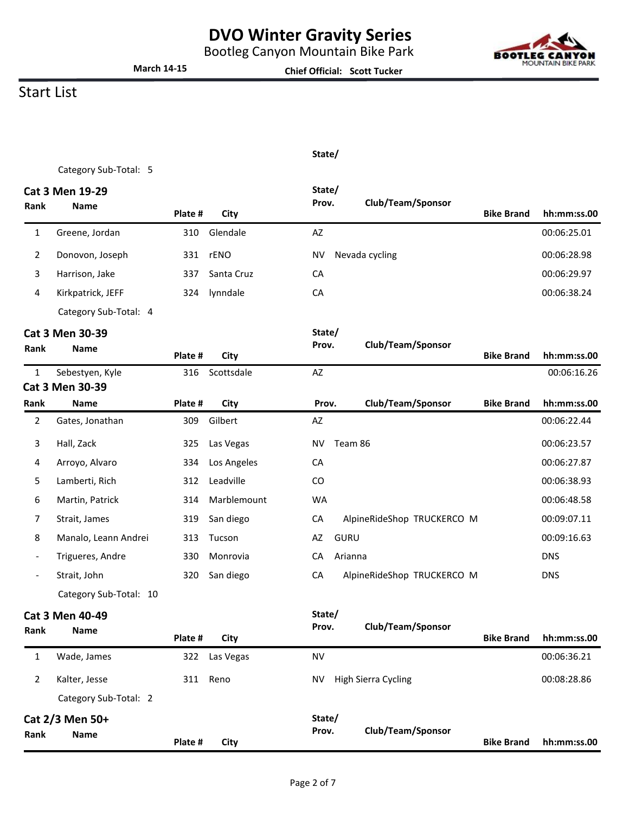Bootleg Canyon Mountain Bike Park



**Bike Brand hh:mm:ss.00**

### Start List

**Rank Name**

#### **State/**

**Chief Official: Scott Tucker**

Category Sub-Total: 5

**March 14-15**

|                          | Cat 3 Men 19-29                       |         |             | State/            |                            |                   |             |
|--------------------------|---------------------------------------|---------|-------------|-------------------|----------------------------|-------------------|-------------|
| Rank                     | <b>Name</b>                           | Plate # | City        | Prov.             | Club/Team/Sponsor          | <b>Bike Brand</b> | hh:mm:ss.00 |
| $\mathbf{1}$             | Greene, Jordan                        | 310     | Glendale    | AZ                |                            |                   | 00:06:25.01 |
| 2                        | Donovon, Joseph                       | 331     | rENO        | <b>NV</b>         | Nevada cycling             |                   | 00:06:28.98 |
| 3                        | Harrison, Jake                        | 337     | Santa Cruz  | CA                |                            |                   | 00:06:29.97 |
| 4                        | Kirkpatrick, JEFF                     | 324     | lynndale    | CA                |                            |                   | 00:06:38.24 |
|                          | Category Sub-Total: 4                 |         |             |                   |                            |                   |             |
|                          | Cat 3 Men 30-39                       |         |             | State/            |                            |                   |             |
| Rank                     | <b>Name</b>                           | Plate # | City        | Prov.             | Club/Team/Sponsor          | <b>Bike Brand</b> | hh:mm:ss.00 |
| $\mathbf{1}$             | Sebestyen, Kyle                       | 316     | Scottsdale  | AZ                |                            |                   | 00:06:16.26 |
|                          | Cat 3 Men 30-39                       |         |             |                   |                            |                   |             |
| Rank                     | <b>Name</b>                           | Plate # | City        | Prov.             | Club/Team/Sponsor          | <b>Bike Brand</b> | hh:mm:ss.00 |
| $\overline{2}$           | Gates, Jonathan                       | 309     | Gilbert     | AZ                |                            |                   | 00:06:22.44 |
| 3                        | Hall, Zack                            | 325     | Las Vegas   | <b>NV</b>         | Team 86                    |                   | 00:06:23.57 |
| 4                        | Arroyo, Alvaro                        | 334     | Los Angeles | CA                |                            |                   | 00:06:27.87 |
| 5                        | Lamberti, Rich                        | 312     | Leadville   | CO                |                            |                   | 00:06:38.93 |
| 6                        | Martin, Patrick                       | 314     | Marblemount | <b>WA</b>         |                            |                   | 00:06:48.58 |
| 7                        | Strait, James                         | 319     | San diego   | CA                | AlpineRideShop TRUCKERCO M |                   | 00:09:07.11 |
| 8                        | Manalo, Leann Andrei                  | 313     | Tucson      | <b>GURU</b><br>AZ |                            |                   | 00:09:16.63 |
| $\overline{\phantom{a}}$ | Trigueres, Andre                      | 330     | Monrovia    | CA                | Arianna                    |                   | <b>DNS</b>  |
|                          | Strait, John                          | 320     | San diego   | CA                | AlpineRideShop TRUCKERCO M |                   | <b>DNS</b>  |
|                          | Category Sub-Total: 10                |         |             |                   |                            |                   |             |
| Rank                     | <b>Cat 3 Men 40-49</b><br><b>Name</b> | Plate # | City        | State/<br>Prov.   | Club/Team/Sponsor          | <b>Bike Brand</b> | hh:mm:ss.00 |
| $\mathbf{1}$             | Wade, James                           | 322     | Las Vegas   | <b>NV</b>         |                            |                   | 00:06:36.21 |
| $\overline{2}$           | Kalter, Jesse                         | 311     | Reno        | NV                | High Sierra Cycling        |                   | 00:08:28.86 |
|                          | Category Sub-Total: 2                 |         |             |                   |                            |                   |             |
|                          | Cat 2/3 Men 50+                       |         |             | State/            |                            |                   |             |

**Prov. Club/Team/Sponsor**

**Plate # City**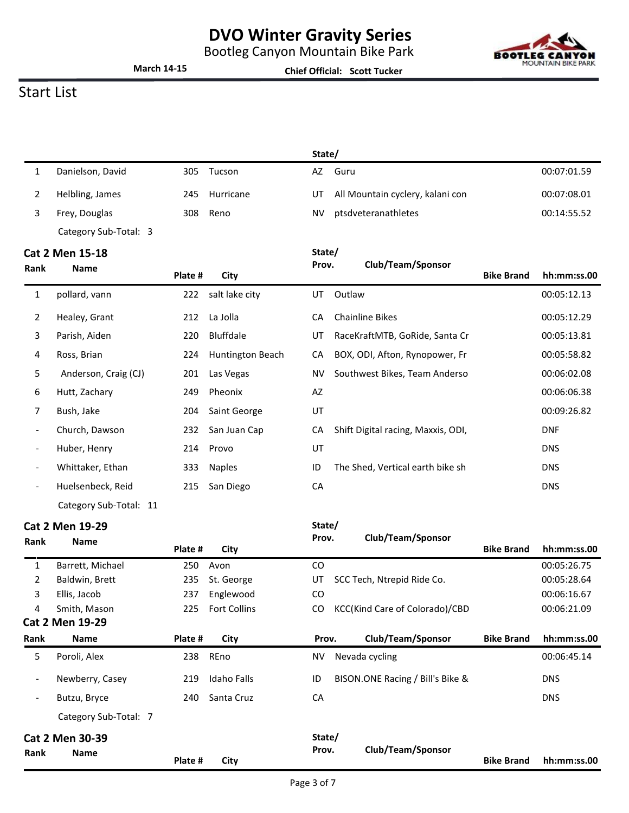Bootleg Canyon Mountain Bike Park



**March 14-15**

**Chief Official: Scott Tucker**

## Start List

|                          |                        |         |                     | State/    |                                    |                   |             |
|--------------------------|------------------------|---------|---------------------|-----------|------------------------------------|-------------------|-------------|
| 1                        | Danielson, David       | 305     | Tucson              | AZ        | Guru                               |                   | 00:07:01.59 |
| 2                        | Helbling, James        | 245     | Hurricane           | UT        | All Mountain cyclery, kalani con   |                   | 00:07:08.01 |
| 3                        | Frey, Douglas          | 308     | Reno                | <b>NV</b> | ptsdveteranathletes                |                   | 00:14:55.52 |
|                          | Category Sub-Total: 3  |         |                     |           |                                    |                   |             |
|                          | Cat 2 Men 15-18        |         |                     | State/    |                                    |                   |             |
| Rank                     | <b>Name</b>            | Plate # | City                | Prov.     | Club/Team/Sponsor                  | <b>Bike Brand</b> | hh:mm:ss.00 |
| 1                        | pollard, vann          | 222     | salt lake city      | UT        | Outlaw                             |                   | 00:05:12.13 |
| 2                        | Healey, Grant          | 212     | La Jolla            | CA        | <b>Chainline Bikes</b>             |                   | 00:05:12.29 |
| 3                        | Parish, Aiden          | 220     | Bluffdale           | UT        | RaceKraftMTB, GoRide, Santa Cr     |                   | 00:05:13.81 |
| 4                        | Ross, Brian            | 224     | Huntington Beach    | CA        | BOX, ODI, Afton, Rynopower, Fr     |                   | 00:05:58.82 |
| 5                        | Anderson, Craig (CJ)   | 201     | Las Vegas           | <b>NV</b> | Southwest Bikes, Team Anderso      |                   | 00:06:02.08 |
| 6                        | Hutt, Zachary          | 249     | Pheonix             | AZ        |                                    |                   | 00:06:06.38 |
| 7                        | Bush, Jake             | 204     | Saint George        | UT        |                                    |                   | 00:09:26.82 |
|                          | Church, Dawson         | 232     | San Juan Cap        | CA        | Shift Digital racing, Maxxis, ODI, |                   | <b>DNF</b>  |
| $\overline{\phantom{a}}$ | Huber, Henry           | 214     | Provo               | UT        |                                    |                   | <b>DNS</b>  |
|                          | Whittaker, Ethan       | 333     | <b>Naples</b>       | ID        | The Shed, Vertical earth bike sh   |                   | <b>DNS</b>  |
| $\overline{\phantom{a}}$ | Huelsenbeck, Reid      | 215     | San Diego           | CA        |                                    |                   | <b>DNS</b>  |
|                          | Category Sub-Total: 11 |         |                     |           |                                    |                   |             |
|                          | Cat 2 Men 19-29        |         |                     | State/    |                                    |                   |             |
| Rank                     | <b>Name</b>            | Plate # | City                | Prov.     | Club/Team/Sponsor                  | <b>Bike Brand</b> | hh:mm:ss.00 |
| 1                        | Barrett, Michael       | 250     | Avon                | CO        |                                    |                   | 00:05:26.75 |
| 2                        | Baldwin, Brett         | 235     | St. George          | UT        | SCC Tech, Ntrepid Ride Co.         |                   | 00:05:28.64 |
| 3                        | Ellis, Jacob           | 237     | Englewood           | CO        |                                    |                   | 00:06:16.67 |
| 4                        | Smith, Mason           | 225     | <b>Fort Collins</b> | CO        | KCC(Kind Care of Colorado)/CBD     |                   | 00:06:21.09 |
|                          | Cat 2 Men 19-29        |         |                     |           |                                    |                   |             |
| Rank                     | <b>Name</b>            | Plate # | City                | Prov.     | Club/Team/Sponsor                  | <b>Bike Brand</b> | hh:mm:ss.00 |
| 5                        | Poroli, Alex           | 238     | REno                | NV        | Nevada cycling                     |                   | 00:06:45.14 |
|                          | Newberry, Casey        | 219     | <b>Idaho Falls</b>  | ID        | BISON.ONE Racing / Bill's Bike &   |                   | <b>DNS</b>  |
|                          | Butzu, Bryce           | 240     | Santa Cruz          | CA        |                                    |                   | <b>DNS</b>  |
|                          | Category Sub-Total: 7  |         |                     |           |                                    |                   |             |
|                          | Cat 2 Men 30-39        |         |                     | State/    |                                    |                   |             |
| Rank                     | Name                   | Plate # | City                | Prov.     | Club/Team/Sponsor                  | <b>Bike Brand</b> | hh:mm:ss.00 |
|                          |                        |         |                     |           |                                    |                   |             |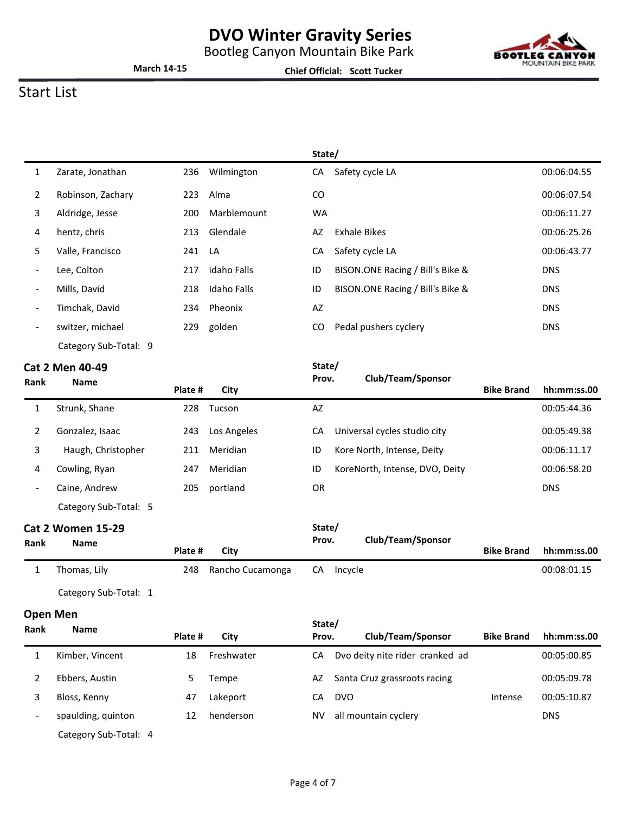Bootleg Canyon Mountain Bike Park



**Chief Official: Scott Tucker**



### Start List

|                          |                       |        |                    | State/    |                                  |             |
|--------------------------|-----------------------|--------|--------------------|-----------|----------------------------------|-------------|
| 1                        | Zarate, Jonathan      | 236    | Wilmington         | CA        | Safety cycle LA                  | 00:06:04.55 |
| $\overline{2}$           | Robinson, Zachary     | 223    | Alma               | CO.       |                                  | 00:06:07.54 |
| 3                        | Aldridge, Jesse       | 200    | Marblemount        | <b>WA</b> |                                  | 00:06:11.27 |
| 4                        | hentz, chris          | 213    | Glendale           | AZ        | <b>Exhale Bikes</b>              | 00:06:25.26 |
| 5.                       | Valle, Francisco      | 241 LA |                    | CA        | Safety cycle LA                  | 00:06:43.77 |
| $\overline{\phantom{a}}$ | Lee, Colton           | 217    | idaho Falls        | ID        | BISON.ONE Racing / Bill's Bike & | <b>DNS</b>  |
| $\overline{\phantom{a}}$ | Mills, David          | 218    | <b>Idaho Falls</b> | ID        | BISON.ONE Racing / Bill's Bike & | <b>DNS</b>  |
| $\overline{\phantom{a}}$ | Timchak, David        | 234    | Pheonix            | AZ        |                                  | <b>DNS</b>  |
| $\overline{\phantom{a}}$ | switzer, michael      | 229    | golden             | CO.       | Pedal pushers cyclery            | <b>DNS</b>  |
|                          | Category Sub-Total: 9 |        |                    |           |                                  |             |

#### **Cat 2 Men 40-49**

|                          | <b>Cat 2 Men 40-49</b> |         |             | State/ |                                |                   |             |
|--------------------------|------------------------|---------|-------------|--------|--------------------------------|-------------------|-------------|
| Rank                     | <b>Name</b>            | Plate # | City        | Prov.  | Club/Team/Sponsor              | <b>Bike Brand</b> | hh:mm:ss.00 |
|                          | Strunk, Shane          | 228     | Tucson      | AZ     |                                |                   | 00:05:44.36 |
|                          | Gonzalez, Isaac        | 243     | Los Angeles | CA     | Universal cycles studio city   |                   | 00:05:49.38 |
| 3                        | Haugh, Christopher     | 211     | Meridian    | ID     | Kore North, Intense, Deity     |                   | 00:06:11.17 |
| 4                        | Cowling, Ryan          | 247     | Meridian    | ID     | KoreNorth, Intense, DVO, Deity |                   | 00:06:58.20 |
| $\overline{\phantom{a}}$ | Caine, Andrew          | 205     | portland    | 0R     |                                |                   | <b>DNS</b>  |

Category Sub-Total: 5

#### **Cat 2 Women 15-29**

| Rank | <b>Name</b>  | Plate # | City             | Prov. | Club/Team/Sponsor | <b>Bike Brand</b> | hh:mm:ss.00 |
|------|--------------|---------|------------------|-------|-------------------|-------------------|-------------|
|      | Thomas, Lily | 248     | Rancho Cucamonga | CA    | Incvcle           |                   | 00:08:01.15 |

**State/**

Category Sub-Total: 1

#### **Open Men**

| Rank                     | <b>Name</b>           |         |            |       | State/                          |                   |             |  |
|--------------------------|-----------------------|---------|------------|-------|---------------------------------|-------------------|-------------|--|
|                          |                       | Plate # | City       | Prov. | Club/Team/Sponsor               | <b>Bike Brand</b> | hh:mm:ss.00 |  |
|                          | Kimber, Vincent       | 18      | Freshwater | CА    | Dvo deity nite rider cranked ad |                   | 00:05:00.85 |  |
|                          | Ebbers, Austin        |         | Tempe      | AZ.   | Santa Cruz grassroots racing    |                   | 00:05:09.78 |  |
|                          | Bloss, Kenny          | 47      | Lakeport   | СA    | <b>DVO</b>                      | Intense           | 00:05:10.87 |  |
| $\overline{\phantom{a}}$ | spaulding, quinton    | 12      | henderson  | NV    | all mountain cyclery            |                   | <b>DNS</b>  |  |
|                          | Category Sub-Total: 4 |         |            |       |                                 |                   |             |  |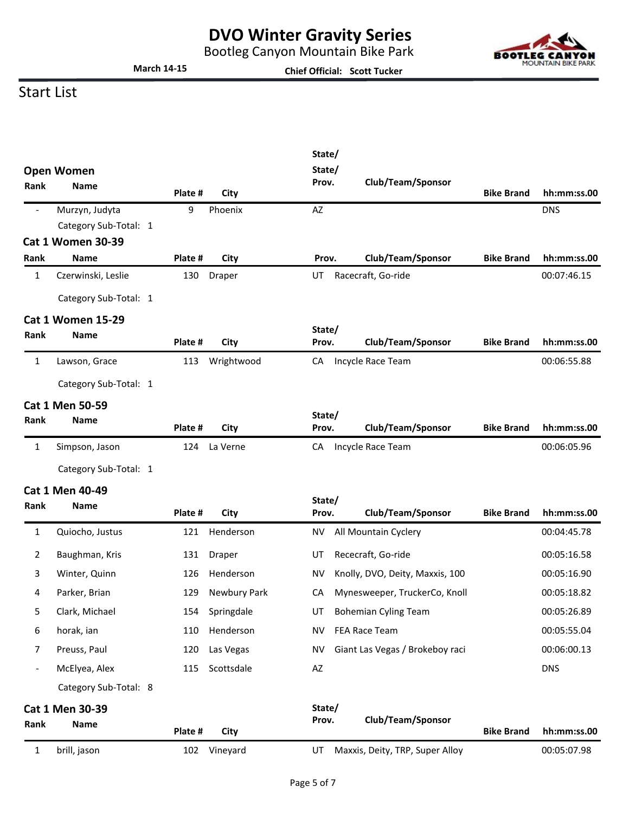Bootleg Canyon Mountain Bike Park

**Chief Official: Scott Tucker**



### Start List

**March 14-15**

|                          |                                         |         |              | State/          |                                 |                   |             |
|--------------------------|-----------------------------------------|---------|--------------|-----------------|---------------------------------|-------------------|-------------|
|                          | <b>Open Women</b>                       |         |              | State/<br>Prov. | Club/Team/Sponsor               |                   |             |
| <b>Rank</b>              | <b>Name</b>                             | Plate # | City         |                 |                                 | <b>Bike Brand</b> | hh:mm:ss.00 |
| $\overline{\phantom{a}}$ | Murzyn, Judyta<br>Category Sub-Total: 1 | 9       | Phoenix      | AZ              |                                 |                   | <b>DNS</b>  |
|                          | <b>Cat 1 Women 30-39</b>                |         |              |                 |                                 |                   |             |
| Rank                     | <b>Name</b>                             | Plate # | City         | Prov.           | Club/Team/Sponsor               | <b>Bike Brand</b> | hh:mm:ss.00 |
| 1                        | Czerwinski, Leslie                      | 130     | Draper       | UT              | Racecraft, Go-ride              |                   | 00:07:46.15 |
|                          | Category Sub-Total: 1                   |         |              |                 |                                 |                   |             |
|                          | <b>Cat 1 Women 15-29</b>                |         |              |                 |                                 |                   |             |
| Rank                     | <b>Name</b>                             | Plate # | City         | State/<br>Prov. | Club/Team/Sponsor               | <b>Bike Brand</b> | hh:mm:ss.00 |
| $\mathbf{1}$             | Lawson, Grace                           | 113     | Wrightwood   | CA              | Incycle Race Team               |                   | 00:06:55.88 |
|                          | Category Sub-Total: 1                   |         |              |                 |                                 |                   |             |
|                          | <b>Cat 1 Men 50-59</b>                  |         |              |                 |                                 |                   |             |
| <b>Rank</b>              | <b>Name</b>                             | Plate # | City         | State/<br>Prov. | Club/Team/Sponsor               | <b>Bike Brand</b> | hh:mm:ss.00 |
| $\mathbf{1}$             | Simpson, Jason                          | 124     | La Verne     | CA              | Incycle Race Team               |                   | 00:06:05.96 |
|                          | Category Sub-Total: 1                   |         |              |                 |                                 |                   |             |
|                          | <b>Cat 1 Men 40-49</b>                  |         |              |                 |                                 |                   |             |
| Rank                     | <b>Name</b>                             | Plate # | City         | State/<br>Prov. | Club/Team/Sponsor               | <b>Bike Brand</b> | hh:mm:ss.00 |
| $\mathbf{1}$             | Quiocho, Justus                         | 121     | Henderson    | NV              | All Mountain Cyclery            |                   | 00:04:45.78 |
| 2                        | Baughman, Kris                          | 131     | Draper       | UT              | Rececraft, Go-ride              |                   | 00:05:16.58 |
| 3                        | Winter, Quinn                           | 126     | Henderson    | <b>NV</b>       | Knolly, DVO, Deity, Maxxis, 100 |                   | 00:05:16.90 |
| 4                        | Parker, Brian                           | 129     | Newbury Park | CA              | Mynesweeper, TruckerCo, Knoll   |                   | 00:05:18.82 |
| 5                        | Clark, Michael                          | 154     | Springdale   | UT              | <b>Bohemian Cyling Team</b>     |                   | 00:05:26.89 |
| 6                        | horak, ian                              | 110     | Henderson    | <b>NV</b>       | FEA Race Team                   |                   | 00:05:55.04 |
| 7                        | Preuss, Paul                            | 120     | Las Vegas    | <b>NV</b>       | Giant Las Vegas / Brokeboy raci |                   | 00:06:00.13 |
| $\overline{\phantom{0}}$ | McElyea, Alex                           | 115     | Scottsdale   | AZ              |                                 |                   | <b>DNS</b>  |
|                          | Category Sub-Total: 8                   |         |              |                 |                                 |                   |             |
|                          | Cat 1 Men 30-39                         |         |              | State/          |                                 |                   |             |
| Rank                     | Name                                    | Plate # | City         | Prov.           | Club/Team/Sponsor               | <b>Bike Brand</b> | hh:mm:ss.00 |
| 1                        | brill, jason                            | 102     | Vineyard     | UT              | Maxxis, Deity, TRP, Super Alloy |                   | 00:05:07.98 |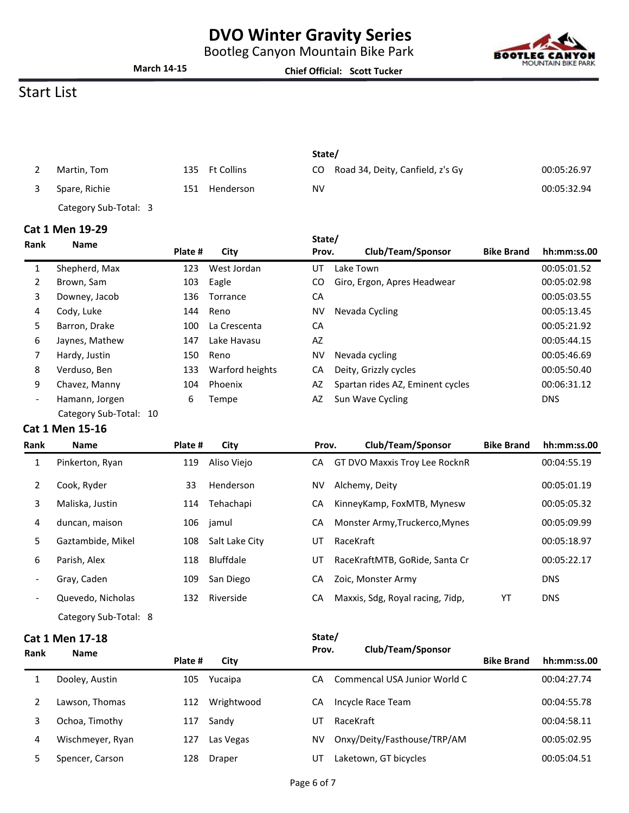Bootleg Canyon Mountain Bike Park

**Chief Official: Scott Tucker**



### Start List

**March 14-15**

|                       |     |                | State/ |                                  |             |
|-----------------------|-----|----------------|--------|----------------------------------|-------------|
| Martin, Tom           |     | 135 Ft Collins | CO.    | Road 34, Deity, Canfield, z's Gy | 00:05:26.97 |
| Spare, Richie         | 151 | Henderson      | NV     |                                  | 00:05:32.94 |
| Category Sub-Total: 3 |     |                |        |                                  |             |

#### **Cat 1 Men 19-29**

| <b>Rank</b>              | <b>Name</b>            | Plate # | City            | State/<br>Prov. | Club/Team/Sponsor                | <b>Bike Brand</b> | hh:mm:ss.00 |
|--------------------------|------------------------|---------|-----------------|-----------------|----------------------------------|-------------------|-------------|
|                          |                        |         | West Jordan     | UT              | Lake Town                        |                   | 00:05:01.52 |
| 1                        | Shepherd, Max          | 123     |                 |                 |                                  |                   |             |
| 2                        | Brown, Sam             | 103     | Eagle           | CO              | Giro, Ergon, Apres Headwear      |                   | 00:05:02.98 |
| 3                        | Downey, Jacob          | 136     | Torrance        | CA              |                                  |                   | 00:05:03.55 |
| 4                        | Cody, Luke             | 144     | Reno            | NV              | Nevada Cycling                   |                   | 00:05:13.45 |
| 5                        | Barron, Drake          | 100     | La Crescenta    | CA              |                                  |                   | 00:05:21.92 |
| 6                        | Jaynes, Mathew         | 147     | Lake Havasu     | AZ              |                                  |                   | 00:05:44.15 |
|                          | Hardy, Justin          | 150     | Reno            | NV              | Nevada cycling                   |                   | 00:05:46.69 |
| 8                        | Verduso, Ben           | 133     | Warford heights | СA              | Deity, Grizzly cycles            |                   | 00:05:50.40 |
| 9                        | Chavez, Manny          | 104     | Phoenix         | AZ              | Spartan rides AZ, Eminent cycles |                   | 00:06:31.12 |
| $\overline{\phantom{a}}$ | Hamann, Jorgen         | 6       | Tempe           | AZ              | Sun Wave Cycling                 |                   | <b>DNS</b>  |
|                          | Category Sub-Total: 10 |         |                 |                 |                                  |                   |             |

#### **Cat 1 Men 15-16**

| <b>Rank</b>              | <b>Name</b>           | Plate # | City           | Prov. | Club/Team/Sponsor                | <b>Bike Brand</b> | hh:mm:ss.00 |
|--------------------------|-----------------------|---------|----------------|-------|----------------------------------|-------------------|-------------|
| 1                        | Pinkerton, Ryan       | 119     | Aliso Viejo    | CA    | GT DVO Maxxis Troy Lee RocknR    |                   | 00:04:55.19 |
| 2                        | Cook, Ryder           | 33      | Henderson      | NV    | Alchemy, Deity                   |                   | 00:05:01.19 |
| 3                        | Maliska, Justin       | 114     | Tehachapi      | CA    | KinneyKamp, FoxMTB, Mynesw       |                   | 00:05:05.32 |
| 4                        | duncan, maison        |         | 106 jamul      | CA    | Monster Army, Truckerco, Mynes   |                   | 00:05:09.99 |
| 5.                       | Gaztambide, Mikel     | 108     | Salt Lake City | UT    | RaceKraft                        |                   | 00:05:18.97 |
| 6                        | Parish, Alex          | 118     | Bluffdale      | UT    | RaceKraftMTB, GoRide, Santa Cr   |                   | 00:05:22.17 |
| $\overline{\phantom{a}}$ | Gray, Caden           | 109     | San Diego      | CA    | Zoic, Monster Army               |                   | <b>DNS</b>  |
| $\overline{\phantom{a}}$ | Quevedo, Nicholas     | 132     | Riverside      | СA    | Maxxis, Sdg, Royal racing, 7idp, | YT                | <b>DNS</b>  |
|                          | Category Sub-Total: 8 |         |                |       |                                  |                   |             |

#### **Cat 1 Men 17-18**

| Rank | <b>Name</b>      |         |            | Prov. |                              | Club/Team/Sponsor |             |  |
|------|------------------|---------|------------|-------|------------------------------|-------------------|-------------|--|
|      |                  | Plate # | City       |       |                              | <b>Bike Brand</b> | hh:mm:ss.00 |  |
|      | Dooley, Austin   | 105     | Yucaipa    | СA    | Commencal USA Junior World C |                   | 00:04:27.74 |  |
|      | Lawson, Thomas   | 112     | Wrightwood | СA    | Incycle Race Team            |                   | 00:04:55.78 |  |
| 3    | Ochoa, Timothy   | 117     | Sandy      | UT    | RaceKraft                    |                   | 00:04:58.11 |  |
| 4    | Wischmeyer, Ryan | 127     | Las Vegas  | NV    | Onxy/Deity/Fasthouse/TRP/AM  |                   | 00:05:02.95 |  |
|      | Spencer, Carson  | 128     | Draper     | UT    | Laketown, GT bicycles        |                   | 00:05:04.51 |  |

**State/**